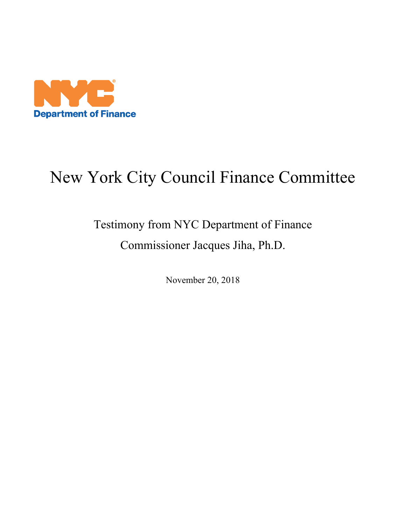

## New York City Council Finance Committee

## Testimony from NYC Department of Finance Commissioner Jacques Jiha, Ph.D.

November 20, 2018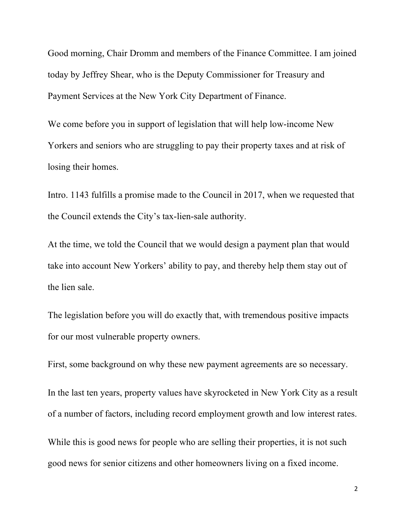Good morning, Chair Dromm and members of the Finance Committee. I am joined today by Jeffrey Shear, who is the Deputy Commissioner for Treasury and Payment Services at the New York City Department of Finance.

We come before you in support of legislation that will help low-income New Yorkers and seniors who are struggling to pay their property taxes and at risk of losing their homes.

Intro. 1143 fulfills a promise made to the Council in 2017, when we requested that the Council extends the City's tax-lien-sale authority.

At the time, we told the Council that we would design a payment plan that would take into account New Yorkers' ability to pay, and thereby help them stay out of the lien sale.

The legislation before you will do exactly that, with tremendous positive impacts for our most vulnerable property owners.

First, some background on why these new payment agreements are so necessary.

In the last ten years, property values have skyrocketed in New York City as a result of a number of factors, including record employment growth and low interest rates.

While this is good news for people who are selling their properties, it is not such good news for senior citizens and other homeowners living on a fixed income.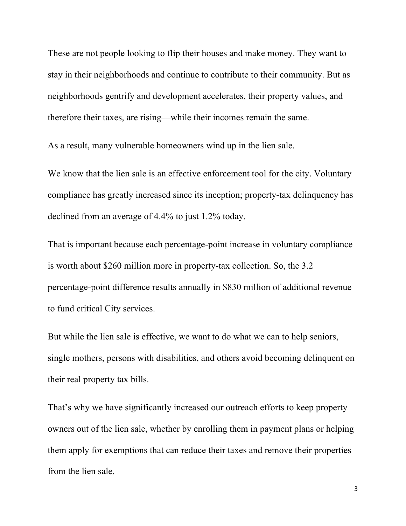These are not people looking to flip their houses and make money. They want to stay in their neighborhoods and continue to contribute to their community. But as neighborhoods gentrify and development accelerates, their property values, and therefore their taxes, are rising—while their incomes remain the same.

As a result, many vulnerable homeowners wind up in the lien sale.

We know that the lien sale is an effective enforcement tool for the city. Voluntary compliance has greatly increased since its inception; property-tax delinquency has declined from an average of 4.4% to just 1.2% today.

That is important because each percentage-point increase in voluntary compliance is worth about \$260 million more in property-tax collection. So, the 3.2 percentage-point difference results annually in \$830 million of additional revenue to fund critical City services.

But while the lien sale is effective, we want to do what we can to help seniors, single mothers, persons with disabilities, and others avoid becoming delinquent on their real property tax bills.

That's why we have significantly increased our outreach efforts to keep property owners out of the lien sale, whether by enrolling them in payment plans or helping them apply for exemptions that can reduce their taxes and remove their properties from the lien sale.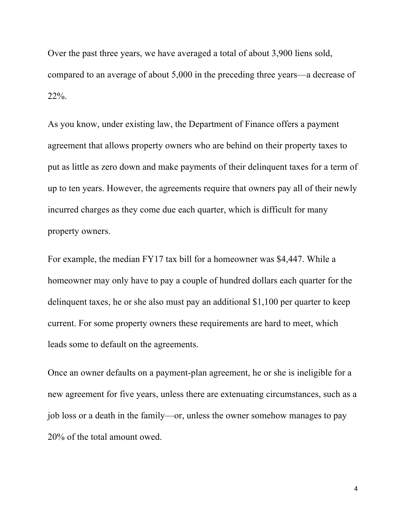Over the past three years, we have averaged a total of about 3,900 liens sold, compared to an average of about 5,000 in the preceding three years—a decrease of 22%.

As you know, under existing law, the Department of Finance offers a payment agreement that allows property owners who are behind on their property taxes to put as little as zero down and make payments of their delinquent taxes for a term of up to ten years. However, the agreements require that owners pay all of their newly incurred charges as they come due each quarter, which is difficult for many property owners.

For example, the median FY17 tax bill for a homeowner was \$4,447. While a homeowner may only have to pay a couple of hundred dollars each quarter for the delinquent taxes, he or she also must pay an additional \$1,100 per quarter to keep current. For some property owners these requirements are hard to meet, which leads some to default on the agreements.

Once an owner defaults on a payment-plan agreement, he or she is ineligible for a new agreement for five years, unless there are extenuating circumstances, such as a job loss or a death in the family—or, unless the owner somehow manages to pay 20% of the total amount owed.

4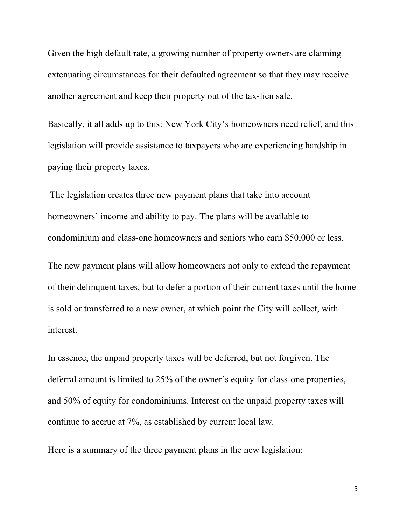Given the high default rate, a growing number of property owners are claiming extenuating circumstances for their defaulted agreement so that they may receive another agreement and keep their property out of the tax-lien sale.

Basically, it all adds up to this: New York City's homeowners need relief, and this legislation will provide assistance to taxpayers who are experiencing hardship in paying their property taxes.

The legislation creates three new payment plans that take into account homeowners' income and ability to pay. The plans will be available to condominium and class-one homeowners and seniors who earn \$50,000 or less.

The new payment plans will allow homeowners not only to extend the repayment of their delinquent taxes, but to defer a portion of their current taxes until the home is sold or transferred to a new owner, at which point the City will collect, with interest.

In essence, the unpaid property taxes will be deferred, but not forgiven. The deferral amount is limited to 25% of the owner's equity for class-one properties, and 50% of equity for condominiums. Interest on the unpaid property taxes will continue to accrue at 7%, as established by current local law.

Here is a summary of the three payment plans in the new legislation:

5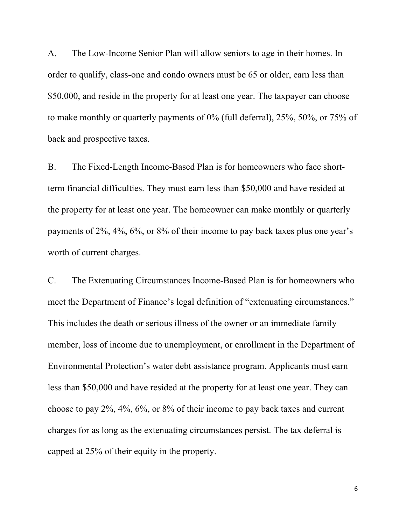A. The Low-Income Senior Plan will allow seniors to age in their homes. In order to qualify, class-one and condo owners must be 65 or older, earn less than \$50,000, and reside in the property for at least one year. The taxpayer can choose to make monthly or quarterly payments of 0% (full deferral), 25%, 50%, or 75% of back and prospective taxes.

B. The Fixed-Length Income-Based Plan is for homeowners who face shortterm financial difficulties. They must earn less than \$50,000 and have resided at the property for at least one year. The homeowner can make monthly or quarterly payments of 2%, 4%, 6%, or 8% of their income to pay back taxes plus one year's worth of current charges.

C. The Extenuating Circumstances Income-Based Plan is for homeowners who meet the Department of Finance's legal definition of "extenuating circumstances." This includes the death or serious illness of the owner or an immediate family member, loss of income due to unemployment, or enrollment in the Department of Environmental Protection's water debt assistance program. Applicants must earn less than \$50,000 and have resided at the property for at least one year. They can choose to pay 2%, 4%, 6%, or 8% of their income to pay back taxes and current charges for as long as the extenuating circumstances persist. The tax deferral is capped at 25% of their equity in the property.

6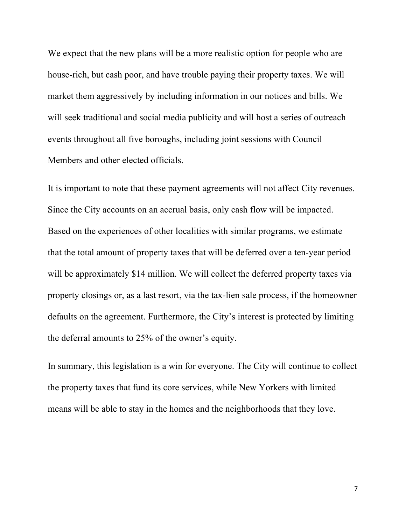We expect that the new plans will be a more realistic option for people who are house-rich, but cash poor, and have trouble paying their property taxes. We will market them aggressively by including information in our notices and bills. We will seek traditional and social media publicity and will host a series of outreach events throughout all five boroughs, including joint sessions with Council Members and other elected officials.

It is important to note that these payment agreements will not affect City revenues. Since the City accounts on an accrual basis, only cash flow will be impacted. Based on the experiences of other localities with similar programs, we estimate that the total amount of property taxes that will be deferred over a ten-year period will be approximately \$14 million. We will collect the deferred property taxes via property closings or, as a last resort, via the tax-lien sale process, if the homeowner defaults on the agreement. Furthermore, the City's interest is protected by limiting the deferral amounts to 25% of the owner's equity.

In summary, this legislation is a win for everyone. The City will continue to collect the property taxes that fund its core services, while New Yorkers with limited means will be able to stay in the homes and the neighborhoods that they love.